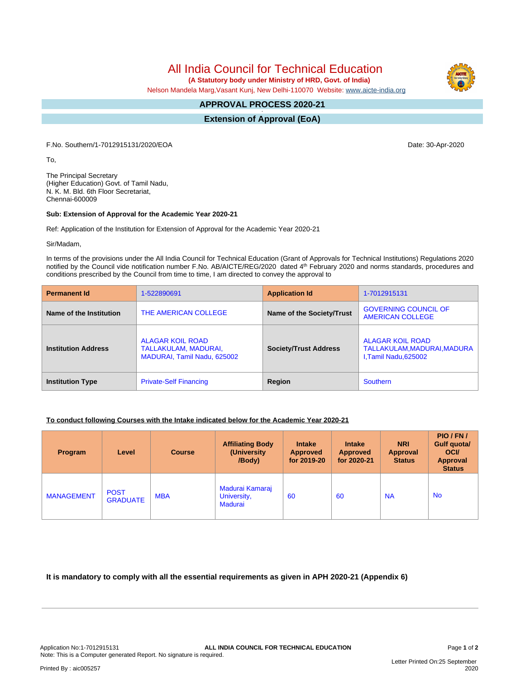All India Council for Technical Education  **(A Statutory body under Ministry of HRD, Govt. of India)**

Nelson Mandela Marg,Vasant Kunj, New Delhi-110070 Website: [www.aicte-india.org](http://www.aicte-india.org)

#### **APPROVAL PROCESS 2020-21 -**

**Extension of Approval (EoA)**

F.No. Southern/1-7012915131/2020/EOA Date: 30-Apr-2020

To,

The Principal Secretary (Higher Education) Govt. of Tamil Nadu, N. K. M. Bld. 6th Floor Secretariat, Chennai-600009

#### **Sub: Extension of Approval for the Academic Year 2020-21**

Ref: Application of the Institution for Extension of Approval for the Academic Year 2020-21

Sir/Madam,

In terms of the provisions under the All India Council for Technical Education (Grant of Approvals for Technical Institutions) Regulations 2020 notified by the Council vide notification number F.No. AB/AICTE/REG/2020 dated 4<sup>th</sup> February 2020 and norms standards, procedures and conditions prescribed by the Council from time to time, I am directed to convey the approval to

| <b>Permanent Id</b>        | 1-522890691                                                                    | <b>Application Id</b>        | 1-7012915131                                                           |  |
|----------------------------|--------------------------------------------------------------------------------|------------------------------|------------------------------------------------------------------------|--|
| Name of the Institution    | THE AMERICAN COLLEGE                                                           | Name of the Society/Trust    | <b>GOVERNING COUNCIL OF</b><br>AMERICAN COLLEGE                        |  |
| <b>Institution Address</b> | <b>ALAGAR KOIL ROAD</b><br>TALLAKULAM, MADURAI,<br>MADURAI, Tamil Nadu, 625002 | <b>Society/Trust Address</b> | ALAGAR KOIL ROAD<br>TALLAKULAM, MADURAI, MADURA<br>I,Tamil Nadu,625002 |  |
| <b>Institution Type</b>    | <b>Private-Self Financing</b>                                                  | Region                       | Southern                                                               |  |

## **To conduct following Courses with the Intake indicated below for the Academic Year 2020-21**

| <b>Program</b>    | Level                          | <b>Course</b> | <b>Affiliating Body</b><br>(University)<br>/Body) | <b>Intake</b><br><b>Approved</b><br>for 2019-20 | <b>Intake</b><br>Approved<br>for 2020-21 | <b>NRI</b><br>Approval<br><b>Status</b> | PIO/FN/<br>Gulf quota/<br><b>OCI</b><br><b>Approval</b><br><b>Status</b> |
|-------------------|--------------------------------|---------------|---------------------------------------------------|-------------------------------------------------|------------------------------------------|-----------------------------------------|--------------------------------------------------------------------------|
| <b>MANAGEMENT</b> | <b>POST</b><br><b>GRADUATE</b> | <b>MBA</b>    | Madurai Kamaraj<br>University,<br><b>Madurai</b>  | 60                                              | 60                                       | <b>NA</b>                               | <b>No</b>                                                                |

## **It is mandatory to comply with all the essential requirements as given in APH 2020-21 (Appendix 6)**